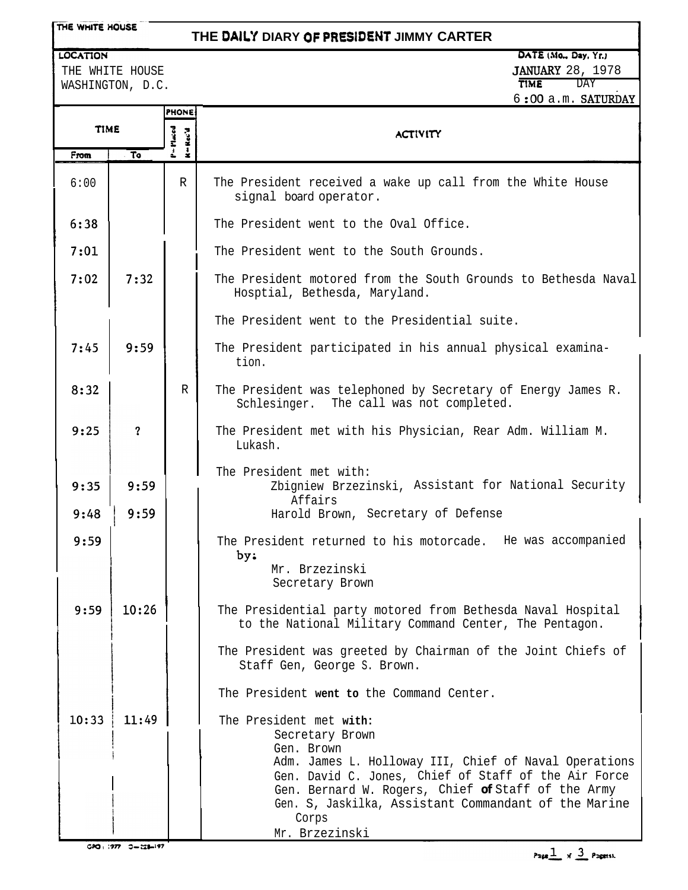**LOCATION** 

### **THE DAILY DIARY Of PRESIDEbiT JIMMY CARTER**

**DATE (MO" Day, Yf.)** JANUARY 28, 1978 TIME **T** 

 $6:00$  a.m. SATURDAY

THE WHITE HOUSE WASHINGTON, D.C.

|             |                         | <b>PHONE</b>                                |                                                                                                                                                                                                                                                                                                  |  |  |  |
|-------------|-------------------------|---------------------------------------------|--------------------------------------------------------------------------------------------------------------------------------------------------------------------------------------------------------------------------------------------------------------------------------------------------|--|--|--|
| <b>TIME</b> |                         | Maced<br>$H = 1$<br>$\overline{\mathbf{r}}$ | <b>ACTIVITY</b>                                                                                                                                                                                                                                                                                  |  |  |  |
| From        | $\overline{\mathbf{r}}$ | ڂ                                           |                                                                                                                                                                                                                                                                                                  |  |  |  |
| 6:00        |                         | $\mathbb{R}$                                | The President received a wake up call from the White House<br>signal board operator.                                                                                                                                                                                                             |  |  |  |
| 6:38        |                         |                                             | The President went to the Oval Office.                                                                                                                                                                                                                                                           |  |  |  |
| 7:01        |                         |                                             | The President went to the South Grounds.                                                                                                                                                                                                                                                         |  |  |  |
| 7:02        | 7:32                    |                                             | The President motored from the South Grounds to Bethesda Naval<br>Hosptial, Bethesda, Maryland.                                                                                                                                                                                                  |  |  |  |
|             |                         |                                             | The President went to the Presidential suite.                                                                                                                                                                                                                                                    |  |  |  |
| 7:45        | 9:59                    |                                             | The President participated in his annual physical examina-<br>tion.                                                                                                                                                                                                                              |  |  |  |
| 8:32        |                         | $\mathbb{R}$                                | The President was telephoned by Secretary of Energy James R.<br>Schlesinger. The call was not completed.                                                                                                                                                                                         |  |  |  |
| 9:25        | $\overline{\mathbf{?}}$ |                                             | The President met with his Physician, Rear Adm. William M.<br>Lukash.                                                                                                                                                                                                                            |  |  |  |
| 9:35        | 9:59                    |                                             | The President met with:<br>Zbigniew Brzezinski, Assistant for National Security<br>Affairs                                                                                                                                                                                                       |  |  |  |
| 9:48        | 9:59                    |                                             | Harold Brown, Secretary of Defense                                                                                                                                                                                                                                                               |  |  |  |
| 9:59        |                         |                                             | The President returned to his motorcade. He was accompanied<br>by:<br>Mr. Brzezinski<br>Secretary Brown                                                                                                                                                                                          |  |  |  |
|             |                         |                                             |                                                                                                                                                                                                                                                                                                  |  |  |  |
| 9:59        | 10:26                   |                                             | The Presidential party motored from Bethesda Naval Hospital<br>to the National Military Command Center, The Pentagon.                                                                                                                                                                            |  |  |  |
|             |                         |                                             | The President was greeted by Chairman of the Joint Chiefs of<br>Staff Gen, George S. Brown.                                                                                                                                                                                                      |  |  |  |
|             |                         |                                             | The President went to the Command Center.                                                                                                                                                                                                                                                        |  |  |  |
| 10:33       | 11:49                   |                                             | The President met with:<br>Secretary Brown<br>Gen. Brown<br>Adm. James L. Holloway III, Chief of Naval Operations<br>Gen. David C. Jones, Chief of Staff of the Air Force<br>Gen. Bernard W. Rogers, Chief of Staff of the Army<br>Gen. S, Jaskilka, Assistant Commandant of the Marine<br>Corps |  |  |  |

Mr. Brzezinski

 $\mathbf{I}$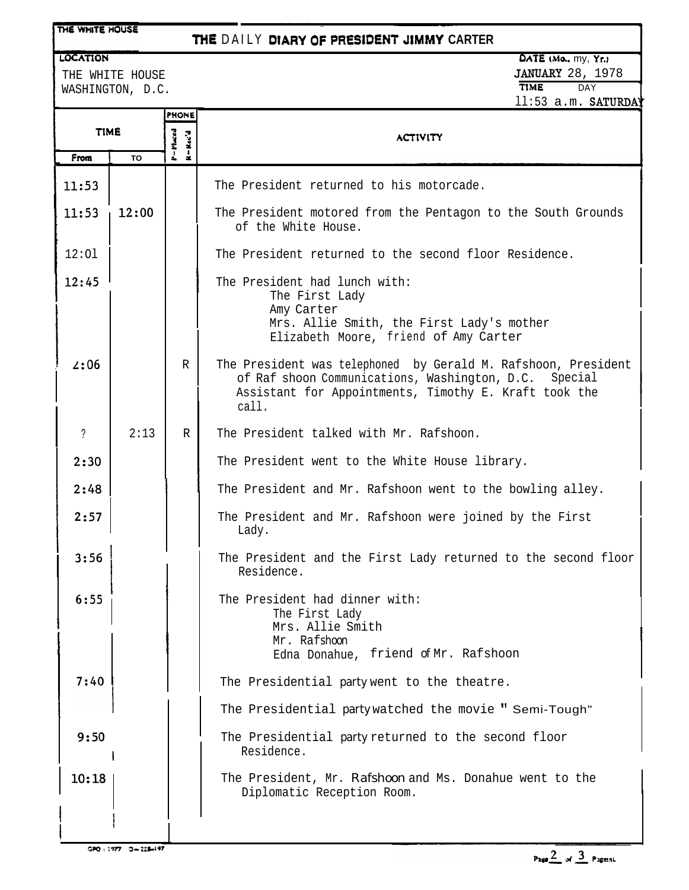#### THE WHITE HOUSE

## **THE DAILY DIARY OF PREstDENT JMMY CARTER**

---- - - --~

## LOCATION

WASHINGTON, D.C.

# DATE (Mo., my, Yr.) THE WHITE HOUSE THE WHITE HOUSE AND THE WHITE HOUSE AND THE SALE OF TIME TIME THE SALE OF TIME THE SALE OF TIME ll:53 a.m. SATURDA

| <b>TIME</b> |           | <b>PHONE</b>                                                                        |                                                                                                                                                                                          |  |  |
|-------------|-----------|-------------------------------------------------------------------------------------|------------------------------------------------------------------------------------------------------------------------------------------------------------------------------------------|--|--|
|             |           | $P = P$ inced<br>$\mathbf{R} = \mathbf{R}\, \mathbf{c}\, \mathbf{c}' \, \mathbf{d}$ | <b>ACTIVITY</b>                                                                                                                                                                          |  |  |
| From        | <b>TO</b> |                                                                                     |                                                                                                                                                                                          |  |  |
| 11:53       |           |                                                                                     | The President returned to his motorcade.                                                                                                                                                 |  |  |
| 11:53       | 12:00     |                                                                                     | The President motored from the Pentagon to the South Grounds<br>of the White House.                                                                                                      |  |  |
| 12:01       |           |                                                                                     | The President returned to the second floor Residence.                                                                                                                                    |  |  |
| 12:45       |           |                                                                                     | The President had lunch with:<br>The First Lady<br>Amy Carter<br>Mrs. Allie Smith, the First Lady's mother<br>Elizabeth Moore, friend of Amy Carter                                      |  |  |
| 2:06        |           | $\mathbb R$                                                                         | The President was telephoned by Gerald M. Rafshoon, President<br>of Raf shoon Communications, Washington, D.C. Special<br>Assistant for Appointments, Timothy E. Kraft took the<br>call. |  |  |
| ?           | 2:13      | R                                                                                   | The President talked with Mr. Rafshoon.                                                                                                                                                  |  |  |
| 2:30        |           |                                                                                     | The President went to the White House library.                                                                                                                                           |  |  |
| 2:48        |           |                                                                                     | The President and Mr. Rafshoon went to the bowling alley.                                                                                                                                |  |  |
| 2:57        |           |                                                                                     | The President and Mr. Rafshoon were joined by the First<br>Lady.                                                                                                                         |  |  |
| 3:56        |           |                                                                                     | The President and the First Lady returned to the second floor<br>Residence.                                                                                                              |  |  |
| 6:55        |           |                                                                                     | The President had dinner with:<br>The First Lady<br>Mrs. Allie Smith<br>Mr. Rafshoon<br>Edna Donahue, friend of Mr. Rafshoon                                                             |  |  |
| 7:40        |           |                                                                                     | The Presidential party went to the theatre.                                                                                                                                              |  |  |
|             |           |                                                                                     | The Presidential party watched the movie "Semi-Tough"                                                                                                                                    |  |  |
| 9:50        |           |                                                                                     | The Presidential party returned to the second floor<br>Residence.                                                                                                                        |  |  |
| 10:18       |           |                                                                                     | The President, Mr. Rafshoon and Ms. Donahue went to the<br>Diplomatic Reception Room.                                                                                                    |  |  |